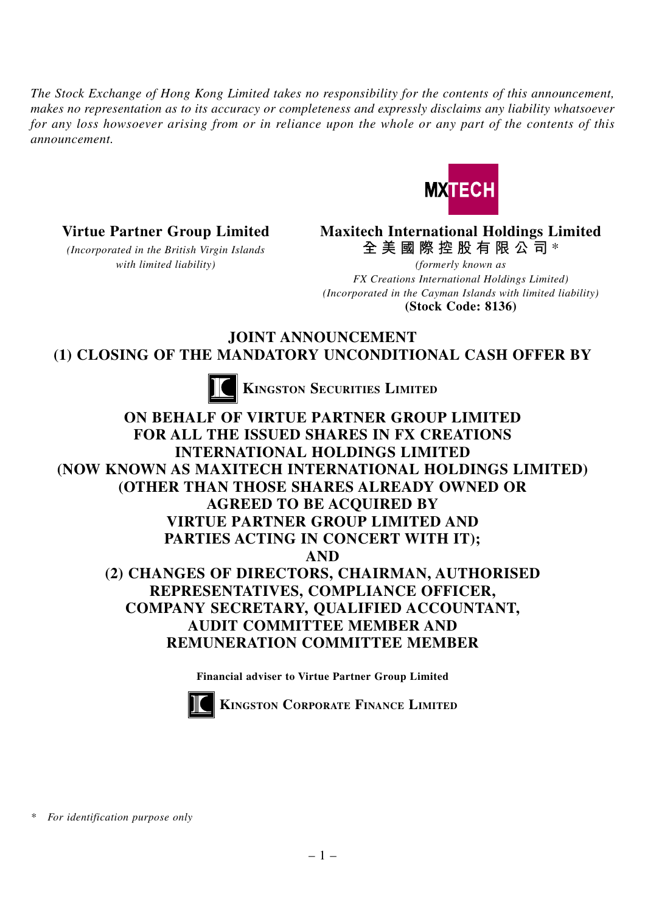*The Stock Exchange of Hong Kong Limited takes no responsibility for the contents of this announcement, makes no representation as to its accuracy or completeness and expressly disclaims any liability whatsoever for any loss howsoever arising from or in reliance upon the whole or any part of the contents of this announcement.*



**Virtue Partner Group Limited Maxitech International Holdings Limited** *(Incorporated in the British Virgin Islands* **全美國際控股有限公司** \*

*with limited liability) (formerly known as FX Creations International Holdings Limited) (Incorporated in the Cayman Islands with limited liability)* **(Stock Code: 8136)**

**JOINT ANNOUNCEMENT (1) CLOSING OF THE MANDATORY UNCONDITIONAL CASH OFFER BY**



**KINGSTON SECURITIES LIMITED** 

**ON BEHALF OF VIRTUE PARTNER GROUP LIMITED FOR ALL THE ISSUED SHARES IN FX CREATIONS INTERNATIONAL HOLDINGS LIMITED (NOW KNOWN AS MAXITECH INTERNATIONAL HOLDINGS LIMITED) (OTHER THAN THOSE SHARES ALREADY OWNED OR AGREED TO BE ACQUIRED BY VIRTUE PARTNER GROUP LIMITED AND PARTIES ACTING IN CONCERT WITH IT); AND (2) CHANGES OF DIRECTORS, CHAIRMAN, AUTHORISED REPRESENTATIVES, COMPLIANCE OFFICER, COMPANY SECRETARY, QUALIFIED ACCOUNTANT, AUDIT COMMITTEE MEMBER AND REMUNERATION COMMITTEE MEMBER**

**Financial adviser to Virtue Partner Group Limited**



**KINGSTON CORPORATE FINANCE LIMITED**

*\* For identification purpose only*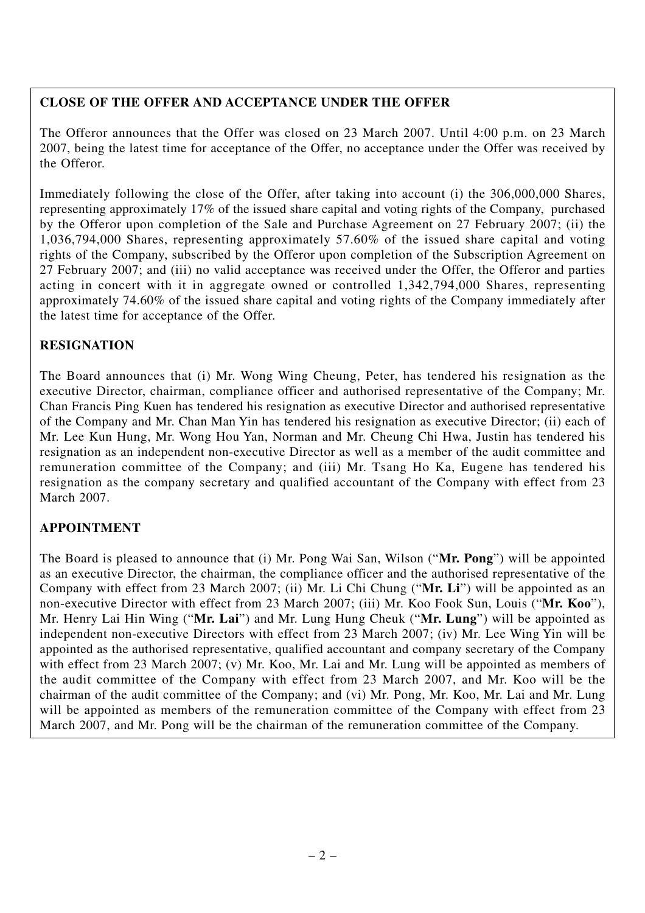## **CLOSE OF THE OFFER AND ACCEPTANCE UNDER THE OFFER**

The Offeror announces that the Offer was closed on 23 March 2007. Until 4:00 p.m. on 23 March 2007, being the latest time for acceptance of the Offer, no acceptance under the Offer was received by the Offeror.

Immediately following the close of the Offer, after taking into account (i) the 306,000,000 Shares, representing approximately 17% of the issued share capital and voting rights of the Company, purchased by the Offeror upon completion of the Sale and Purchase Agreement on 27 February 2007; (ii) the 1,036,794,000 Shares, representing approximately 57.60% of the issued share capital and voting rights of the Company, subscribed by the Offeror upon completion of the Subscription Agreement on 27 February 2007; and (iii) no valid acceptance was received under the Offer, the Offeror and parties acting in concert with it in aggregate owned or controlled 1,342,794,000 Shares, representing approximately 74.60% of the issued share capital and voting rights of the Company immediately after the latest time for acceptance of the Offer.

# **RESIGNATION**

The Board announces that (i) Mr. Wong Wing Cheung, Peter, has tendered his resignation as the executive Director, chairman, compliance officer and authorised representative of the Company; Mr. Chan Francis Ping Kuen has tendered his resignation as executive Director and authorised representative of the Company and Mr. Chan Man Yin has tendered his resignation as executive Director; (ii) each of Mr. Lee Kun Hung, Mr. Wong Hou Yan, Norman and Mr. Cheung Chi Hwa, Justin has tendered his resignation as an independent non-executive Director as well as a member of the audit committee and remuneration committee of the Company; and (iii) Mr. Tsang Ho Ka, Eugene has tendered his resignation as the company secretary and qualified accountant of the Company with effect from 23 March 2007.

## **APPOINTMENT**

The Board is pleased to announce that (i) Mr. Pong Wai San, Wilson ("**Mr. Pong**") will be appointed as an executive Director, the chairman, the compliance officer and the authorised representative of the Company with effect from 23 March 2007; (ii) Mr. Li Chi Chung ("**Mr. Li**") will be appointed as an non-executive Director with effect from 23 March 2007; (iii) Mr. Koo Fook Sun, Louis ("**Mr. Koo**"), Mr. Henry Lai Hin Wing ("**Mr. Lai**") and Mr. Lung Hung Cheuk ("**Mr. Lung**") will be appointed as independent non-executive Directors with effect from 23 March 2007; (iv) Mr. Lee Wing Yin will be appointed as the authorised representative, qualified accountant and company secretary of the Company with effect from 23 March 2007; (v) Mr. Koo, Mr. Lai and Mr. Lung will be appointed as members of the audit committee of the Company with effect from 23 March 2007, and Mr. Koo will be the chairman of the audit committee of the Company; and (vi) Mr. Pong, Mr. Koo, Mr. Lai and Mr. Lung will be appointed as members of the remuneration committee of the Company with effect from 23 March 2007, and Mr. Pong will be the chairman of the remuneration committee of the Company.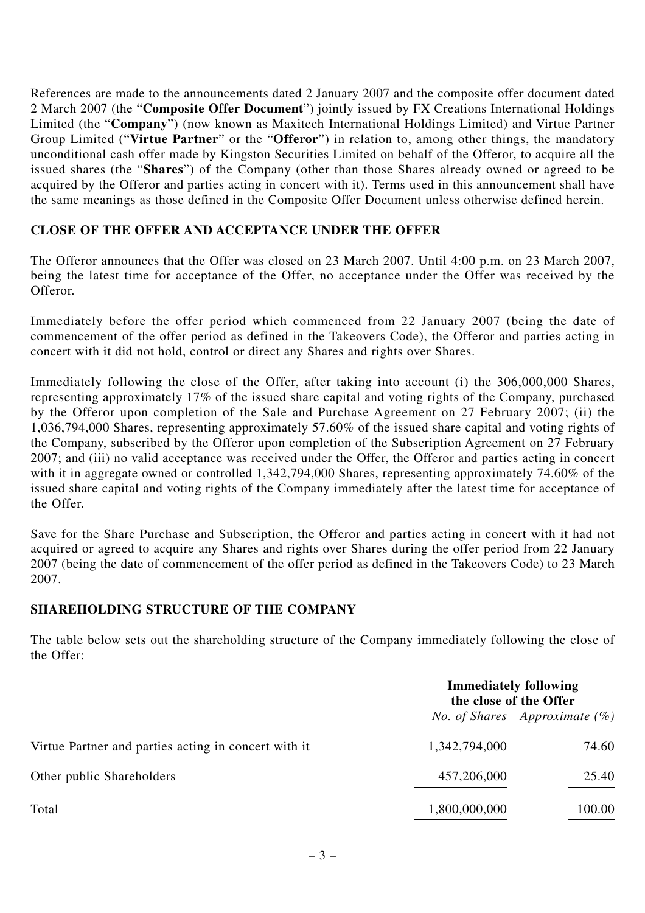References are made to the announcements dated 2 January 2007 and the composite offer document dated 2 March 2007 (the "**Composite Offer Document**") jointly issued by FX Creations International Holdings Limited (the "**Company**") (now known as Maxitech International Holdings Limited) and Virtue Partner Group Limited ("**Virtue Partner**" or the "**Offeror**") in relation to, among other things, the mandatory unconditional cash offer made by Kingston Securities Limited on behalf of the Offeror, to acquire all the issued shares (the "**Shares**") of the Company (other than those Shares already owned or agreed to be acquired by the Offeror and parties acting in concert with it). Terms used in this announcement shall have the same meanings as those defined in the Composite Offer Document unless otherwise defined herein.

### **CLOSE OF THE OFFER AND ACCEPTANCE UNDER THE OFFER**

The Offeror announces that the Offer was closed on 23 March 2007. Until 4:00 p.m. on 23 March 2007, being the latest time for acceptance of the Offer, no acceptance under the Offer was received by the Offeror.

Immediately before the offer period which commenced from 22 January 2007 (being the date of commencement of the offer period as defined in the Takeovers Code), the Offeror and parties acting in concert with it did not hold, control or direct any Shares and rights over Shares.

Immediately following the close of the Offer, after taking into account (i) the 306,000,000 Shares, representing approximately 17% of the issued share capital and voting rights of the Company, purchased by the Offeror upon completion of the Sale and Purchase Agreement on 27 February 2007; (ii) the 1,036,794,000 Shares, representing approximately 57.60% of the issued share capital and voting rights of the Company, subscribed by the Offeror upon completion of the Subscription Agreement on 27 February 2007; and (iii) no valid acceptance was received under the Offer, the Offeror and parties acting in concert with it in aggregate owned or controlled 1,342,794,000 Shares, representing approximately 74.60% of the issued share capital and voting rights of the Company immediately after the latest time for acceptance of the Offer.

Save for the Share Purchase and Subscription, the Offeror and parties acting in concert with it had not acquired or agreed to acquire any Shares and rights over Shares during the offer period from 22 January 2007 (being the date of commencement of the offer period as defined in the Takeovers Code) to 23 March 2007.

#### **SHAREHOLDING STRUCTURE OF THE COMPANY**

The table below sets out the shareholding structure of the Company immediately following the close of the Offer:

|                                                      | <b>Immediately following</b><br>the close of the Offer |                                         |
|------------------------------------------------------|--------------------------------------------------------|-----------------------------------------|
|                                                      |                                                        | <i>No. of Shares Approximate</i> $(\%)$ |
| Virtue Partner and parties acting in concert with it | 1,342,794,000                                          | 74.60                                   |
| Other public Shareholders                            | 457,206,000                                            | 25.40                                   |
| Total                                                | 1,800,000,000                                          | 100.00                                  |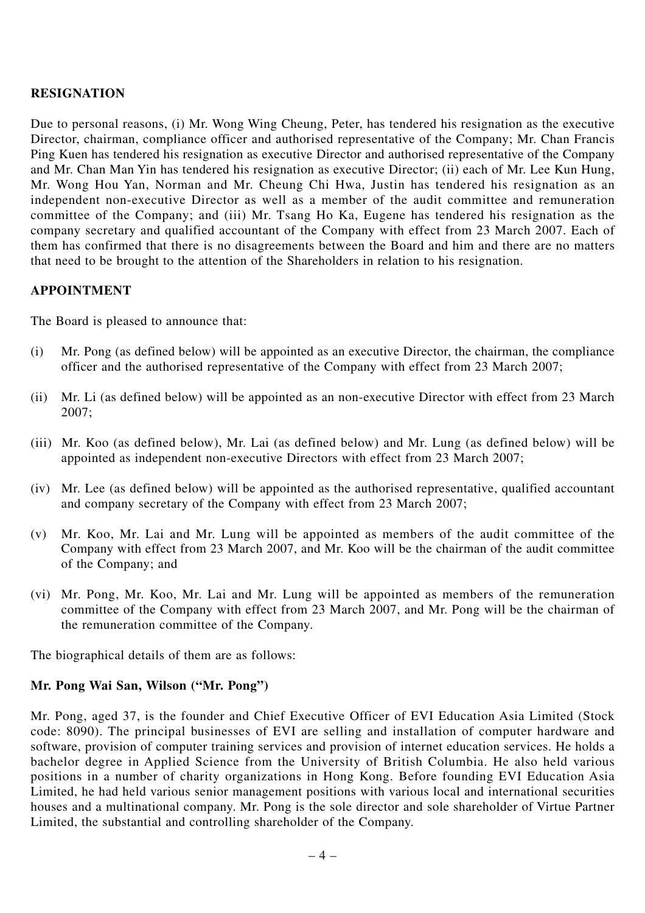### **RESIGNATION**

Due to personal reasons, (i) Mr. Wong Wing Cheung, Peter, has tendered his resignation as the executive Director, chairman, compliance officer and authorised representative of the Company; Mr. Chan Francis Ping Kuen has tendered his resignation as executive Director and authorised representative of the Company and Mr. Chan Man Yin has tendered his resignation as executive Director; (ii) each of Mr. Lee Kun Hung, Mr. Wong Hou Yan, Norman and Mr. Cheung Chi Hwa, Justin has tendered his resignation as an independent non-executive Director as well as a member of the audit committee and remuneration committee of the Company; and (iii) Mr. Tsang Ho Ka, Eugene has tendered his resignation as the company secretary and qualified accountant of the Company with effect from 23 March 2007. Each of them has confirmed that there is no disagreements between the Board and him and there are no matters that need to be brought to the attention of the Shareholders in relation to his resignation.

### **APPOINTMENT**

The Board is pleased to announce that:

- (i) Mr. Pong (as defined below) will be appointed as an executive Director, the chairman, the compliance officer and the authorised representative of the Company with effect from 23 March 2007;
- (ii) Mr. Li (as defined below) will be appointed as an non-executive Director with effect from 23 March 2007;
- (iii) Mr. Koo (as defined below), Mr. Lai (as defined below) and Mr. Lung (as defined below) will be appointed as independent non-executive Directors with effect from 23 March 2007;
- (iv) Mr. Lee (as defined below) will be appointed as the authorised representative, qualified accountant and company secretary of the Company with effect from 23 March 2007;
- (v) Mr. Koo, Mr. Lai and Mr. Lung will be appointed as members of the audit committee of the Company with effect from 23 March 2007, and Mr. Koo will be the chairman of the audit committee of the Company; and
- (vi) Mr. Pong, Mr. Koo, Mr. Lai and Mr. Lung will be appointed as members of the remuneration committee of the Company with effect from 23 March 2007, and Mr. Pong will be the chairman of the remuneration committee of the Company.

The biographical details of them are as follows:

#### **Mr. Pong Wai San, Wilson ("Mr. Pong")**

Mr. Pong, aged 37, is the founder and Chief Executive Officer of EVI Education Asia Limited (Stock code: 8090). The principal businesses of EVI are selling and installation of computer hardware and software, provision of computer training services and provision of internet education services. He holds a bachelor degree in Applied Science from the University of British Columbia. He also held various positions in a number of charity organizations in Hong Kong. Before founding EVI Education Asia Limited, he had held various senior management positions with various local and international securities houses and a multinational company. Mr. Pong is the sole director and sole shareholder of Virtue Partner Limited, the substantial and controlling shareholder of the Company.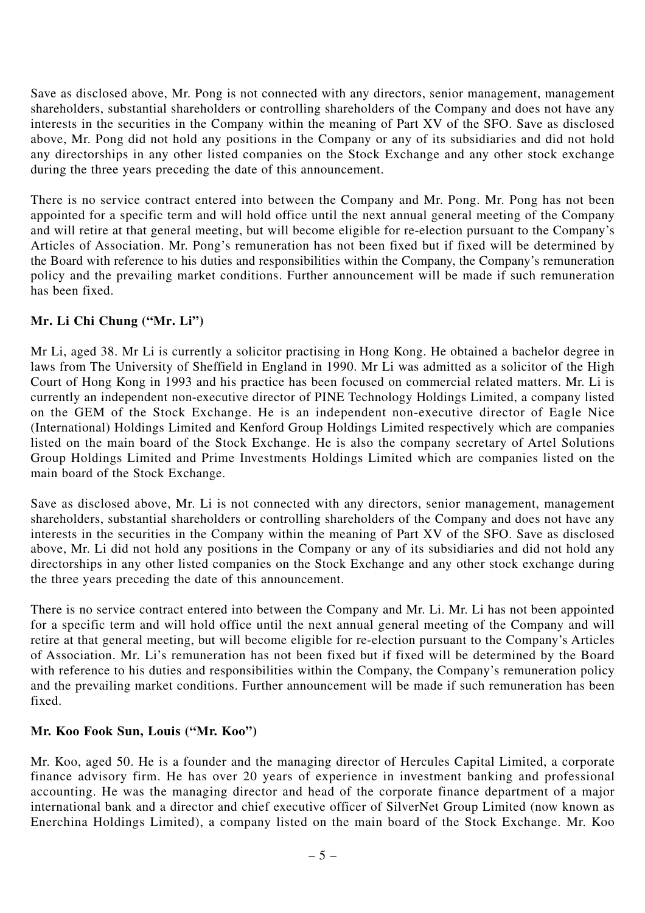Save as disclosed above, Mr. Pong is not connected with any directors, senior management, management shareholders, substantial shareholders or controlling shareholders of the Company and does not have any interests in the securities in the Company within the meaning of Part XV of the SFO. Save as disclosed above, Mr. Pong did not hold any positions in the Company or any of its subsidiaries and did not hold any directorships in any other listed companies on the Stock Exchange and any other stock exchange during the three years preceding the date of this announcement.

There is no service contract entered into between the Company and Mr. Pong. Mr. Pong has not been appointed for a specific term and will hold office until the next annual general meeting of the Company and will retire at that general meeting, but will become eligible for re-election pursuant to the Company's Articles of Association. Mr. Pong's remuneration has not been fixed but if fixed will be determined by the Board with reference to his duties and responsibilities within the Company, the Company's remuneration policy and the prevailing market conditions. Further announcement will be made if such remuneration has been fixed.

## **Mr. Li Chi Chung ("Mr. Li")**

Mr Li, aged 38. Mr Li is currently a solicitor practising in Hong Kong. He obtained a bachelor degree in laws from The University of Sheffield in England in 1990. Mr Li was admitted as a solicitor of the High Court of Hong Kong in 1993 and his practice has been focused on commercial related matters. Mr. Li is currently an independent non-executive director of PINE Technology Holdings Limited, a company listed on the GEM of the Stock Exchange. He is an independent non-executive director of Eagle Nice (International) Holdings Limited and Kenford Group Holdings Limited respectively which are companies listed on the main board of the Stock Exchange. He is also the company secretary of Artel Solutions Group Holdings Limited and Prime Investments Holdings Limited which are companies listed on the main board of the Stock Exchange.

Save as disclosed above, Mr. Li is not connected with any directors, senior management, management shareholders, substantial shareholders or controlling shareholders of the Company and does not have any interests in the securities in the Company within the meaning of Part XV of the SFO. Save as disclosed above, Mr. Li did not hold any positions in the Company or any of its subsidiaries and did not hold any directorships in any other listed companies on the Stock Exchange and any other stock exchange during the three years preceding the date of this announcement.

There is no service contract entered into between the Company and Mr. Li. Mr. Li has not been appointed for a specific term and will hold office until the next annual general meeting of the Company and will retire at that general meeting, but will become eligible for re-election pursuant to the Company's Articles of Association. Mr. Li's remuneration has not been fixed but if fixed will be determined by the Board with reference to his duties and responsibilities within the Company, the Company's remuneration policy and the prevailing market conditions. Further announcement will be made if such remuneration has been fixed.

#### **Mr. Koo Fook Sun, Louis ("Mr. Koo")**

Mr. Koo, aged 50. He is a founder and the managing director of Hercules Capital Limited, a corporate finance advisory firm. He has over 20 years of experience in investment banking and professional accounting. He was the managing director and head of the corporate finance department of a major international bank and a director and chief executive officer of SilverNet Group Limited (now known as Enerchina Holdings Limited), a company listed on the main board of the Stock Exchange. Mr. Koo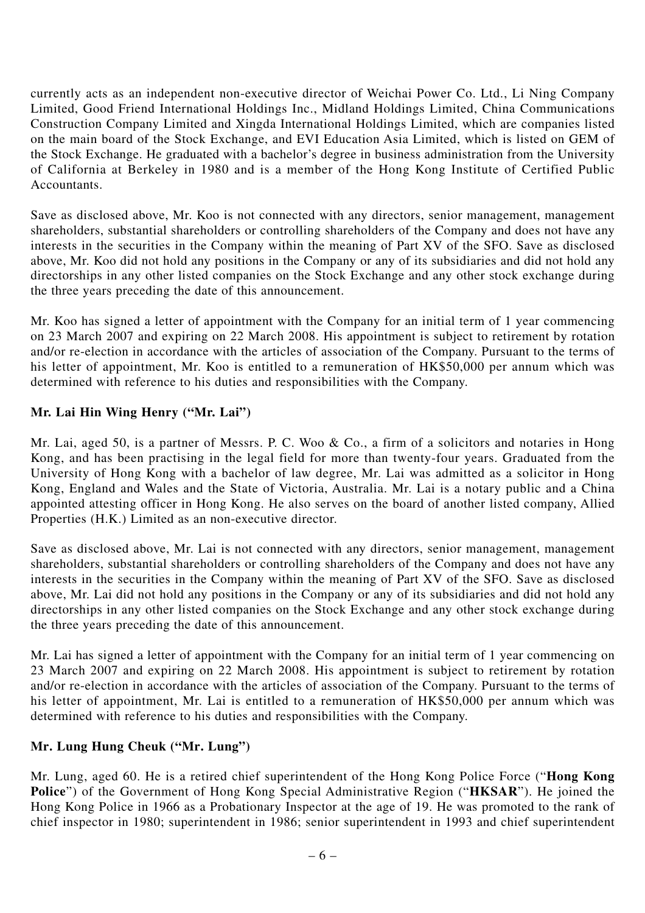currently acts as an independent non-executive director of Weichai Power Co. Ltd., Li Ning Company Limited, Good Friend International Holdings Inc., Midland Holdings Limited, China Communications Construction Company Limited and Xingda International Holdings Limited, which are companies listed on the main board of the Stock Exchange, and EVI Education Asia Limited, which is listed on GEM of the Stock Exchange. He graduated with a bachelor's degree in business administration from the University of California at Berkeley in 1980 and is a member of the Hong Kong Institute of Certified Public Accountants.

Save as disclosed above, Mr. Koo is not connected with any directors, senior management, management shareholders, substantial shareholders or controlling shareholders of the Company and does not have any interests in the securities in the Company within the meaning of Part XV of the SFO. Save as disclosed above, Mr. Koo did not hold any positions in the Company or any of its subsidiaries and did not hold any directorships in any other listed companies on the Stock Exchange and any other stock exchange during the three years preceding the date of this announcement.

Mr. Koo has signed a letter of appointment with the Company for an initial term of 1 year commencing on 23 March 2007 and expiring on 22 March 2008. His appointment is subject to retirement by rotation and/or re-election in accordance with the articles of association of the Company. Pursuant to the terms of his letter of appointment, Mr. Koo is entitled to a remuneration of HK\$50,000 per annum which was determined with reference to his duties and responsibilities with the Company.

## **Mr. Lai Hin Wing Henry ("Mr. Lai")**

Mr. Lai, aged 50, is a partner of Messrs. P. C. Woo & Co., a firm of a solicitors and notaries in Hong Kong, and has been practising in the legal field for more than twenty-four years. Graduated from the University of Hong Kong with a bachelor of law degree, Mr. Lai was admitted as a solicitor in Hong Kong, England and Wales and the State of Victoria, Australia. Mr. Lai is a notary public and a China appointed attesting officer in Hong Kong. He also serves on the board of another listed company, Allied Properties (H.K.) Limited as an non-executive director.

Save as disclosed above, Mr. Lai is not connected with any directors, senior management, management shareholders, substantial shareholders or controlling shareholders of the Company and does not have any interests in the securities in the Company within the meaning of Part XV of the SFO. Save as disclosed above, Mr. Lai did not hold any positions in the Company or any of its subsidiaries and did not hold any directorships in any other listed companies on the Stock Exchange and any other stock exchange during the three years preceding the date of this announcement.

Mr. Lai has signed a letter of appointment with the Company for an initial term of 1 year commencing on 23 March 2007 and expiring on 22 March 2008. His appointment is subject to retirement by rotation and/or re-election in accordance with the articles of association of the Company. Pursuant to the terms of his letter of appointment, Mr. Lai is entitled to a remuneration of HK\$50,000 per annum which was determined with reference to his duties and responsibilities with the Company.

#### **Mr. Lung Hung Cheuk ("Mr. Lung")**

Mr. Lung, aged 60. He is a retired chief superintendent of the Hong Kong Police Force ("**Hong Kong Police**") of the Government of Hong Kong Special Administrative Region ("**HKSAR**"). He joined the Hong Kong Police in 1966 as a Probationary Inspector at the age of 19. He was promoted to the rank of chief inspector in 1980; superintendent in 1986; senior superintendent in 1993 and chief superintendent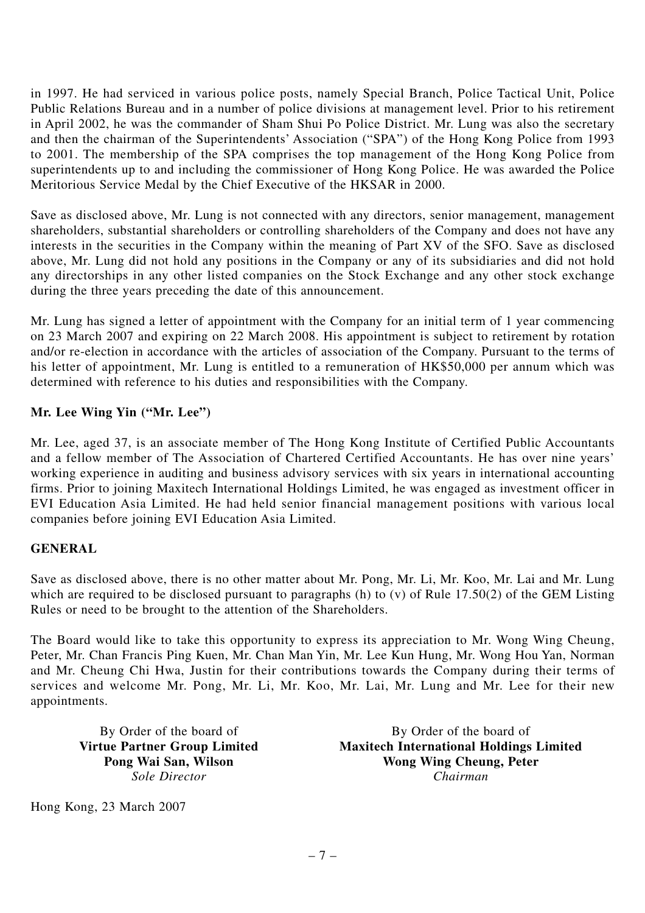in 1997. He had serviced in various police posts, namely Special Branch, Police Tactical Unit, Police Public Relations Bureau and in a number of police divisions at management level. Prior to his retirement in April 2002, he was the commander of Sham Shui Po Police District. Mr. Lung was also the secretary and then the chairman of the Superintendents' Association ("SPA") of the Hong Kong Police from 1993 to 2001. The membership of the SPA comprises the top management of the Hong Kong Police from superintendents up to and including the commissioner of Hong Kong Police. He was awarded the Police Meritorious Service Medal by the Chief Executive of the HKSAR in 2000.

Save as disclosed above, Mr. Lung is not connected with any directors, senior management, management shareholders, substantial shareholders or controlling shareholders of the Company and does not have any interests in the securities in the Company within the meaning of Part XV of the SFO. Save as disclosed above, Mr. Lung did not hold any positions in the Company or any of its subsidiaries and did not hold any directorships in any other listed companies on the Stock Exchange and any other stock exchange during the three years preceding the date of this announcement.

Mr. Lung has signed a letter of appointment with the Company for an initial term of 1 year commencing on 23 March 2007 and expiring on 22 March 2008. His appointment is subject to retirement by rotation and/or re-election in accordance with the articles of association of the Company. Pursuant to the terms of his letter of appointment, Mr. Lung is entitled to a remuneration of HK\$50,000 per annum which was determined with reference to his duties and responsibilities with the Company.

### **Mr. Lee Wing Yin ("Mr. Lee")**

Mr. Lee, aged 37, is an associate member of The Hong Kong Institute of Certified Public Accountants and a fellow member of The Association of Chartered Certified Accountants. He has over nine years' working experience in auditing and business advisory services with six years in international accounting firms. Prior to joining Maxitech International Holdings Limited, he was engaged as investment officer in EVI Education Asia Limited. He had held senior financial management positions with various local companies before joining EVI Education Asia Limited.

#### **GENERAL**

Save as disclosed above, there is no other matter about Mr. Pong, Mr. Li, Mr. Koo, Mr. Lai and Mr. Lung which are required to be disclosed pursuant to paragraphs (h) to (v) of Rule 17.50(2) of the GEM Listing Rules or need to be brought to the attention of the Shareholders.

The Board would like to take this opportunity to express its appreciation to Mr. Wong Wing Cheung, Peter, Mr. Chan Francis Ping Kuen, Mr. Chan Man Yin, Mr. Lee Kun Hung, Mr. Wong Hou Yan, Norman and Mr. Cheung Chi Hwa, Justin for their contributions towards the Company during their terms of services and welcome Mr. Pong, Mr. Li, Mr. Koo, Mr. Lai, Mr. Lung and Mr. Lee for their new appointments.

By Order of the board of By Order of the board of **Virtue Partner Group Limited Maxitech International Holdings Limited Pong Wai San, Wilson Wong Wing Cheung, Peter** *Sole Director Chairman*

Hong Kong, 23 March 2007